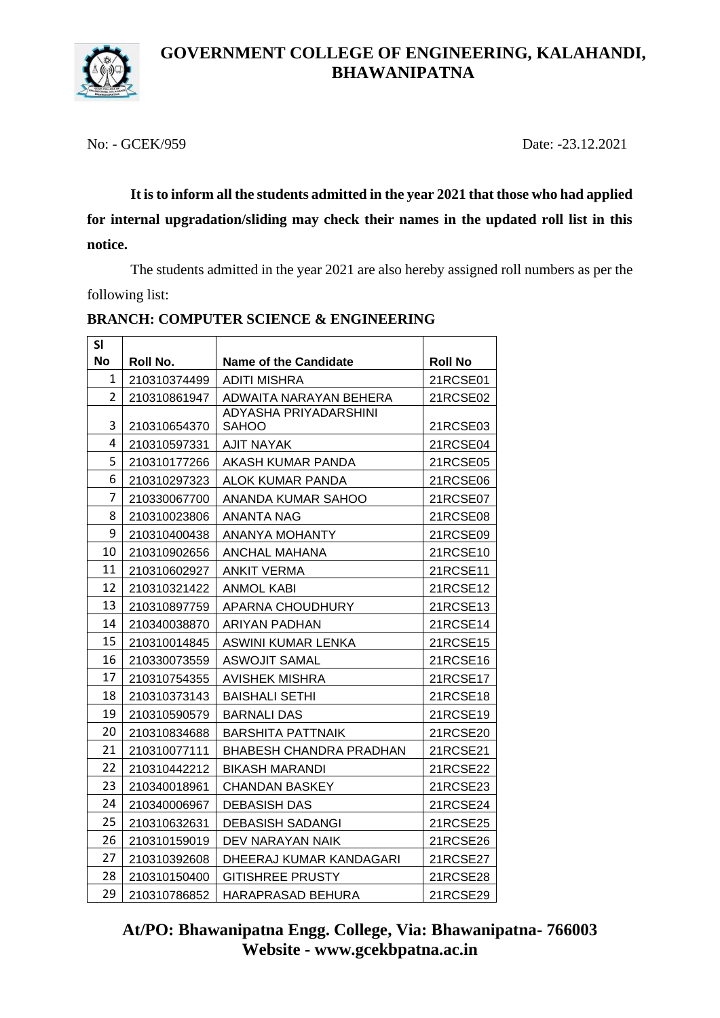

No: - GCEK/959 Date: -23.12.2021

**It is to inform all the students admitted in the year 2021 that those who had applied for internal upgradation/sliding may check their names in the updated roll list in this notice.**

The students admitted in the year 2021 are also hereby assigned roll numbers as per the following list:

| <b>SI</b> |              |                                |                |
|-----------|--------------|--------------------------------|----------------|
| <b>No</b> | Roll No.     | <b>Name of the Candidate</b>   | <b>Roll No</b> |
| 1         | 210310374499 | ADITI MISHRA                   | 21RCSE01       |
| 2         | 210310861947 | ADWAITA NARAYAN BEHERA         | 21RCSE02       |
|           |              | ADYASHA PRIYADARSHINI          |                |
| 3         | 210310654370 | <b>SAHOO</b>                   | 21RCSE03       |
| 4         | 210310597331 | <b>AJIT NAYAK</b>              | 21RCSE04       |
| 5         | 210310177266 | AKASH KUMAR PANDA              | 21RCSE05       |
| 6         | 210310297323 | ALOK KUMAR PANDA               | 21RCSE06       |
| 7         | 210330067700 | ANANDA KUMAR SAHOO             | 21RCSE07       |
| 8         | 210310023806 | ANANTA NAG                     | 21RCSE08       |
| 9         | 210310400438 | ANANYA MOHANTY                 | 21RCSE09       |
| 10        | 210310902656 | ANCHAL MAHANA                  | 21RCSE10       |
| 11        | 210310602927 | <b>ANKIT VERMA</b>             | 21RCSE11       |
| 12        | 210310321422 | ANMOL KABI                     | 21RCSE12       |
| 13        | 210310897759 | APARNA CHOUDHURY               | 21RCSE13       |
| 14        | 210340038870 | ARIYAN PADHAN                  | 21RCSE14       |
| 15        | 210310014845 | ASWINI KUMAR LENKA             | 21RCSE15       |
| 16        | 210330073559 | ASWOJIT SAMAL                  | 21RCSE16       |
| 17        | 210310754355 | <b>AVISHEK MISHRA</b>          | 21RCSE17       |
| 18        | 210310373143 | <b>BAISHALI SETHI</b>          | 21RCSE18       |
| 19        | 210310590579 | <b>BARNALI DAS</b>             | 21RCSE19       |
| 20        | 210310834688 | BARSHITA PATTNAIK              | 21RCSE20       |
| 21        | 210310077111 | <b>BHABESH CHANDRA PRADHAN</b> | 21RCSE21       |
| 22        | 210310442212 | BIKASH MARANDI                 | 21RCSE22       |
| 23        | 210340018961 | CHANDAN BASKEY                 | 21RCSE23       |
| 24        | 210340006967 | <b>DEBASISH DAS</b>            | 21RCSE24       |
| 25        | 210310632631 | DEBASISH SADANGI               | 21RCSE25       |
| 26        | 210310159019 | DEV NARAYAN NAIK               | 21RCSE26       |
| 27        | 210310392608 | DHEERAJ KUMAR KANDAGARI        | 21RCSE27       |
| 28        | 210310150400 | <b>GITISHREE PRUSTY</b>        | 21RCSE28       |
| 29        | 210310786852 | HARAPRASAD BEHURA              | 21RCSE29       |

### **BRANCH: COMPUTER SCIENCE & ENGINEERING**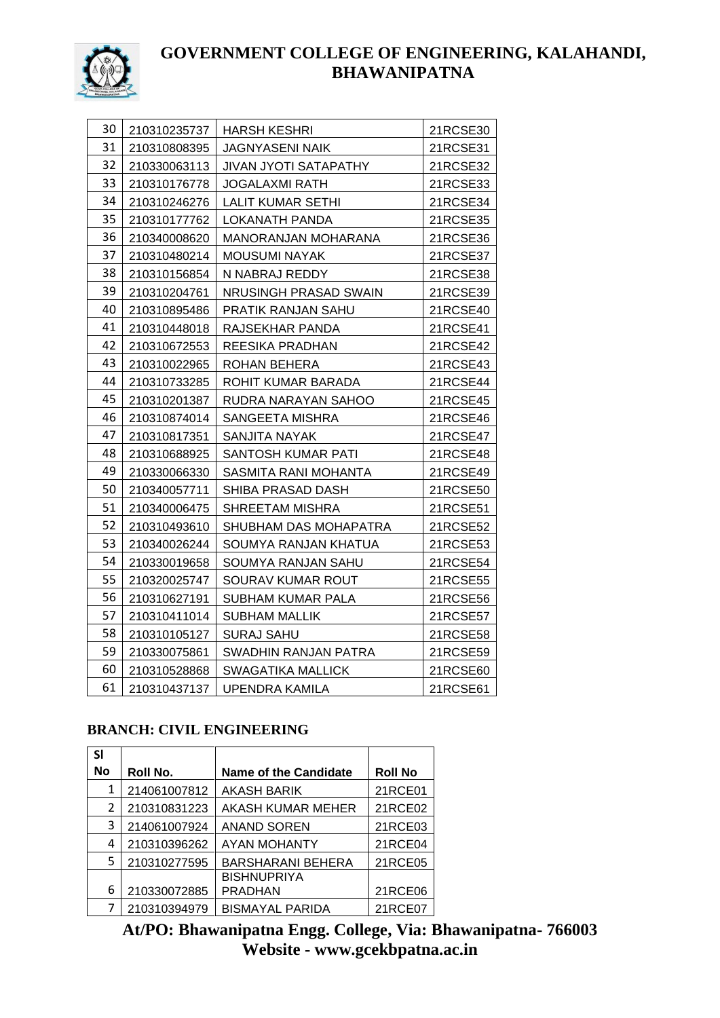

| 30 | 210310235737 | <b>HARSH KESHRI</b>    | 21RCSE30 |
|----|--------------|------------------------|----------|
| 31 | 210310808395 | <b>JAGNYASENI NAIK</b> | 21RCSE31 |
| 32 | 210330063113 | JIVAN JYOTI SATAPATHY  | 21RCSE32 |
| 33 | 210310176778 | <b>JOGALAXMI RATH</b>  | 21RCSE33 |
| 34 | 210310246276 | LALIT KUMAR SETHI      | 21RCSE34 |
| 35 | 210310177762 | <b>LOKANATH PANDA</b>  | 21RCSE35 |
| 36 | 210340008620 | MANORANJAN MOHARANA    | 21RCSE36 |
| 37 | 210310480214 | <b>MOUSUMI NAYAK</b>   | 21RCSE37 |
| 38 | 210310156854 | N NABRAJ REDDY         | 21RCSE38 |
| 39 | 210310204761 | NRUSINGH PRASAD SWAIN  | 21RCSE39 |
| 40 | 210310895486 | PRATIK RANJAN SAHU     | 21RCSE40 |
| 41 | 210310448018 | RAJSEKHAR PANDA        | 21RCSE41 |
| 42 | 210310672553 | REESIKA PRADHAN        | 21RCSE42 |
| 43 | 210310022965 | ROHAN BEHERA           | 21RCSE43 |
| 44 | 210310733285 | ROHIT KUMAR BARADA     | 21RCSE44 |
| 45 | 210310201387 | RUDRA NARAYAN SAHOO    | 21RCSE45 |
| 46 | 210310874014 | SANGEETA MISHRA        | 21RCSE46 |
| 47 | 210310817351 | SANJITA NAYAK          | 21RCSE47 |
| 48 | 210310688925 | SANTOSH KUMAR PATI     | 21RCSE48 |
| 49 | 210330066330 | SASMITA RANI MOHANTA   | 21RCSE49 |
| 50 | 210340057711 | SHIBA PRASAD DASH      | 21RCSE50 |
| 51 | 210340006475 | SHREETAM MISHRA        | 21RCSE51 |
| 52 | 210310493610 | SHUBHAM DAS MOHAPATRA  | 21RCSE52 |
| 53 | 210340026244 | SOUMYA RANJAN KHATUA   | 21RCSE53 |
| 54 | 210330019658 | SOUMYA RANJAN SAHU     | 21RCSE54 |
| 55 | 210320025747 | SOURAV KUMAR ROUT      | 21RCSE55 |
| 56 | 210310627191 | SUBHAM KUMAR PALA      | 21RCSE56 |
| 57 | 210310411014 | SUBHAM MALLIK          | 21RCSE57 |
| 58 | 210310105127 | <b>SURAJ SAHU</b>      | 21RCSE58 |
| 59 | 210330075861 | SWADHIN RANJAN PATRA   | 21RCSE59 |
| 60 | 210310528868 | SWAGATIKA MALLICK      | 21RCSE60 |
| 61 | 210310437137 | <b>UPENDRA KAMILA</b>  | 21RCSE61 |

### **BRANCH: CIVIL ENGINEERING**

| SI        |              |                              |                |
|-----------|--------------|------------------------------|----------------|
| <b>No</b> | Roll No.     | <b>Name of the Candidate</b> | <b>Roll No</b> |
| 1         | 214061007812 | <b>AKASH BARIK</b>           | 21RCE01        |
| 2         | 210310831223 | AKASH KUMAR MEHER            | 21RCE02        |
| 3         | 214061007924 | <b>ANAND SOREN</b>           | 21RCE03        |
| 4         | 210310396262 | AYAN MOHANTY                 | 21RCE04        |
| 5         | 210310277595 | <b>BARSHARANI BEHERA</b>     | 21RCE05        |
|           |              | <b>BISHNUPRIYA</b>           |                |
| 6         | 210330072885 | <b>PRADHAN</b>               | 21RCE06        |
|           | 210310394979 | <b>BISMAYAL PARIDA</b>       | 21RCE07        |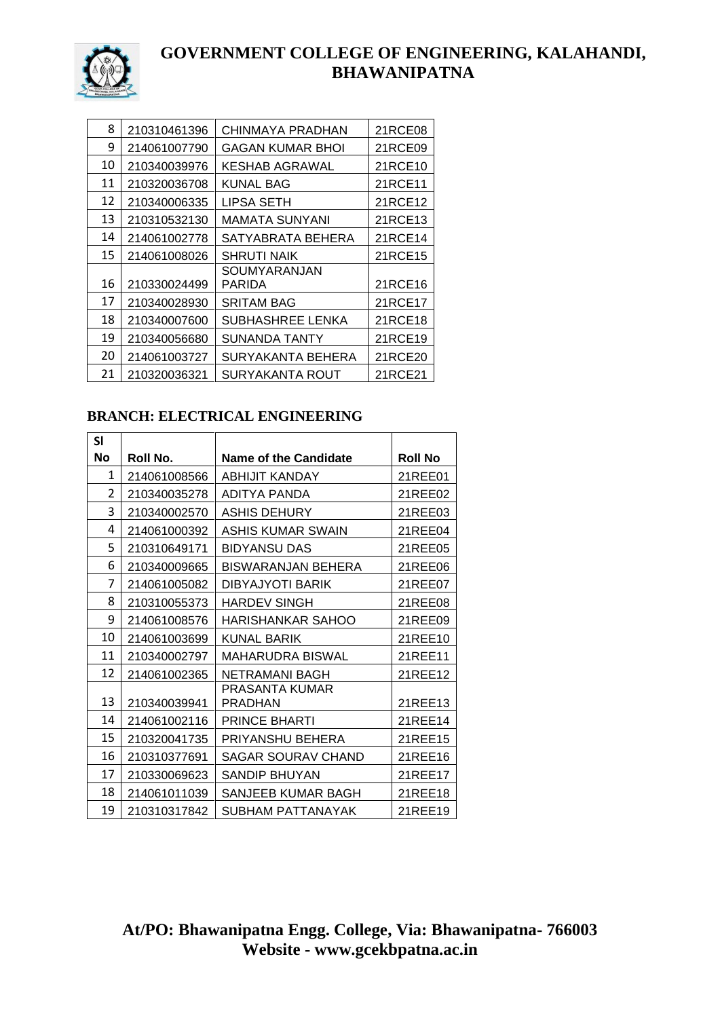

| 8  | 210310461396 | CHINMAYA PRADHAN       | 21RCE08 |
|----|--------------|------------------------|---------|
| 9  | 214061007790 | GAGAN KUMAR BHOI       | 21RCE09 |
| 10 | 210340039976 | <b>KESHAB AGRAWAL</b>  | 21RCE10 |
| 11 | 210320036708 | KUNAL BAG              | 21RCE11 |
| 12 | 210340006335 | LIPSA SETH             | 21RCE12 |
| 13 | 210310532130 | MAMATA SUNYANI         | 21RCE13 |
| 14 | 214061002778 | SATYABRATA BEHERA      | 21RCE14 |
| 15 | 214061008026 | SHRUTI NAIK            | 21RCE15 |
| 16 | 210330024499 | SOUMYARANJAN<br>PARIDA | 21RCE16 |
| 17 | 210340028930 | <b>SRITAM BAG</b>      | 21RCE17 |
| 18 | 210340007600 | SUBHASHREE LENKA       | 21RCE18 |
| 19 | 210340056680 | SUNANDA TANTY          | 21RCE19 |
| 20 | 214061003727 | SURYAKANTA BEHERA      | 21RCE20 |
| 21 | 210320036321 | SURYAKANTA ROUT        | 21RCE21 |

#### **BRANCH: ELECTRICAL ENGINEERING**

| SI        |              |                              |                |
|-----------|--------------|------------------------------|----------------|
| <b>No</b> | Roll No.     | <b>Name of the Candidate</b> | <b>Roll No</b> |
| 1         | 214061008566 | ABHIJIT KANDAY               | 21REE01        |
| 2         | 210340035278 | ADITYA PANDA                 | 21REE02        |
| 3         | 210340002570 | ASHIS DEHURY                 | 21REE03        |
| 4         | 214061000392 | <b>ASHIS KUMAR SWAIN</b>     | 21REE04        |
| 5         | 210310649171 | <b>BIDYANSU DAS</b>          | 21REE05        |
| 6         | 210340009665 | BISWARANJAN BEHERA           | 21REE06        |
| 7         | 214061005082 | <b>DIBYAJYOTI BARIK</b>      | 21REE07        |
| 8         | 210310055373 | <b>HARDEV SINGH</b>          | 21REE08        |
| 9         | 214061008576 | <b>HARISHANKAR SAHOO</b>     | 21REE09        |
| 10        | 214061003699 | <b>KUNAL BARIK</b>           | 21REE10        |
| 11        | 210340002797 | <b>MAHARUDRA BISWAL</b>      | 21REE11        |
| 12        | 214061002365 | <b>NETRAMANI BAGH</b>        | 21REE12        |
| 13        | 210340039941 | PRASANTA KUMAR<br>PRADHAN    | 21REE13        |
| 14        | 214061002116 | <b>PRINCE BHARTI</b>         | 21REE14        |
| 15        | 210320041735 | PRIYANSHU BEHERA             | 21REE15        |
| 16        | 210310377691 | SAGAR SOURAV CHAND           | 21REE16        |
| 17        | 210330069623 | SANDIP BHUYAN                | 21REE17        |
| 18        | 214061011039 | SANJEEB KUMAR BAGH           | 21REE18        |
| 19        | 210310317842 | SUBHAM PATTANAYAK            | 21REE19        |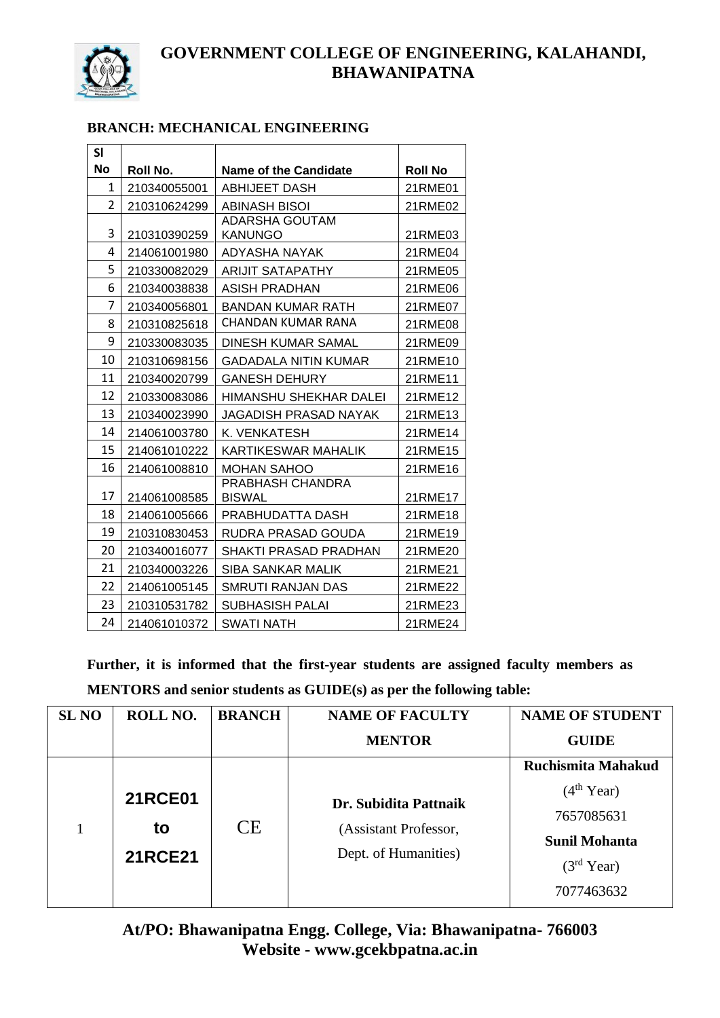

### **BRANCH: MECHANICAL ENGINEERING**

| SI        |              |                                         |                |
|-----------|--------------|-----------------------------------------|----------------|
| <b>No</b> | Roll No.     | <b>Name of the Candidate</b>            | <b>Roll No</b> |
| 1         | 210340055001 | <b>ABHIJEET DASH</b>                    | 21RME01        |
| 2         | 210310624299 | <b>ABINASH BISOI</b>                    | 21RME02        |
| 3         | 210310390259 | <b>ADARSHA GOUTAM</b><br><b>KANUNGO</b> | 21RME03        |
| 4         | 214061001980 | ADYASHA NAYAK                           | 21RME04        |
| 5         | 210330082029 | <b>ARIJIT SATAPATHY</b>                 | 21RME05        |
| 6         | 210340038838 | ASISH PRADHAN                           | 21RME06        |
| 7         | 210340056801 | <b>BANDAN KUMAR RATH</b>                | 21RME07        |
| 8         | 210310825618 | CHANDAN KUMAR RANA                      | 21RME08        |
| 9         | 210330083035 | DINESH KUMAR SAMAL                      | 21RME09        |
| 10        | 210310698156 | <b>GADADALA NITIN KUMAR</b>             | 21RME10        |
| 11        | 210340020799 | <b>GANESH DEHURY</b>                    | 21RME11        |
| 12        | 210330083086 | HIMANSHU SHEKHAR DALEI                  | 21RME12        |
| 13        | 210340023990 | JAGADISH PRASAD NAYAK                   | 21RME13        |
| 14        | 214061003780 | K. VENKATESH                            | 21RME14        |
| 15        | 214061010222 | <b>KARTIKESWAR MAHALIK</b>              | 21RME15        |
| 16        | 214061008810 | <b>MOHAN SAHOO</b>                      | 21RME16        |
| 17        | 214061008585 | PRABHASH CHANDRA<br><b>BISWAL</b>       | 21RME17        |
| 18        | 214061005666 | PRABHUDATTA DASH                        | 21RME18        |
| 19        | 210310830453 | RUDRA PRASAD GOUDA                      | 21RME19        |
| 20        | 210340016077 | <b>SHAKTI PRASAD PRADHAN</b>            | 21RME20        |
| 21        | 210340003226 | SIBA SANKAR MALIK                       | 21RME21        |
| 22        | 214061005145 | SMRUTI RANJAN DAS                       | 21RME22        |
| 23        | 210310531782 | <b>SUBHASISH PALAI</b>                  | 21RME23        |
| 24        | 214061010372 | <b>SWATI NATH</b>                       | 21RME24        |

**Further, it is informed that the first-year students are assigned faculty members as MENTORS and senior students as GUIDE(s) as per the following table:**

| <b>SL NO</b> | ROLL NO.       | <b>BRANCH</b>        | <b>NAME OF FACULTY</b> | <b>NAME OF STUDENT</b> |
|--------------|----------------|----------------------|------------------------|------------------------|
|              |                |                      | <b>MENTOR</b>          | <b>GUIDE</b>           |
|              |                |                      |                        | Ruchismita Mahakud     |
|              | <b>21RCE01</b> |                      | Dr. Subidita Pattnaik  | (4 <sup>th</sup> Year) |
|              | to             | <b>CE</b>            | (Assistant Professor,  | 7657085631             |
|              |                |                      |                        | <b>Sunil Mohanta</b>   |
|              | <b>21RCE21</b> | Dept. of Humanities) | (3 <sup>rd</sup> Year) |                        |
|              |                |                      |                        | 7077463632             |